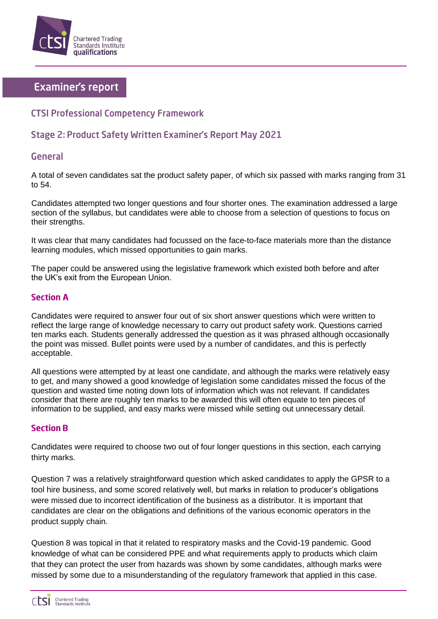

# **Examiner's report**

## **CTSI Professional Competency Framework**

## **Stage 2: Product Safety Written Examiner's Report May 2021**

### **General**

A total of seven candidates sat the product safety paper, of which six passed with marks ranging from 31 to 54.

Candidates attempted two longer questions and four shorter ones. The examination addressed a large section of the syllabus, but candidates were able to choose from a selection of questions to focus on their strengths.

It was clear that many candidates had focussed on the face-to-face materials more than the distance learning modules, which missed opportunities to gain marks.

The paper could be answered using the legislative framework which existed both before and after the UK's exit from the European Union.

### **Section A**

Candidates were required to answer four out of six short answer questions which were written to reflect the large range of knowledge necessary to carry out product safety work. Questions carried ten marks each. Students generally addressed the question as it was phrased although occasionally the point was missed. Bullet points were used by a number of candidates, and this is perfectly acceptable.

All questions were attempted by at least one candidate, and although the marks were relatively easy to get, and many showed a good knowledge of legislation some candidates missed the focus of the question and wasted time noting down lots of information which was not relevant. If candidates consider that there are roughly ten marks to be awarded this will often equate to ten pieces of information to be supplied, and easy marks were missed while setting out unnecessary detail.

#### **Section B**

Candidates were required to choose two out of four longer questions in this section, each carrying thirty marks.

Question 7 was a relatively straightforward question which asked candidates to apply the GPSR to a tool hire business, and some scored relatively well, but marks in relation to producer's obligations were missed due to incorrect identification of the business as a distributor. It is important that candidates are clear on the obligations and definitions of the various economic operators in the product supply chain.

Question 8 was topical in that it related to respiratory masks and the Covid-19 pandemic. Good knowledge of what can be considered PPE and what requirements apply to products which claim that they can protect the user from hazards was shown by some candidates, although marks were missed by some due to a misunderstanding of the regulatory framework that applied in this case.